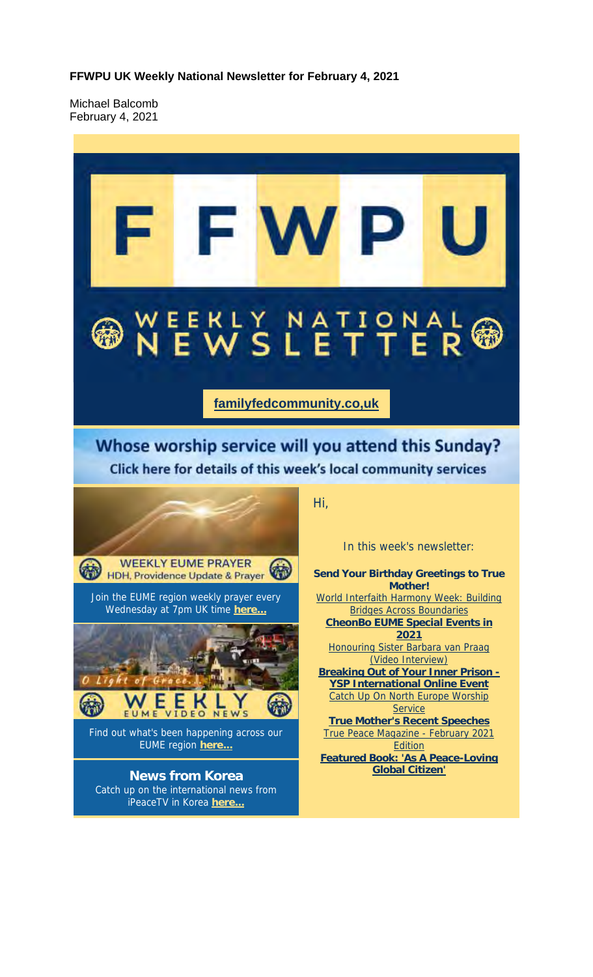**FFWPU UK Weekly National Newsletter for February 4, 2021**

Michael Balcomb February 4, 2021

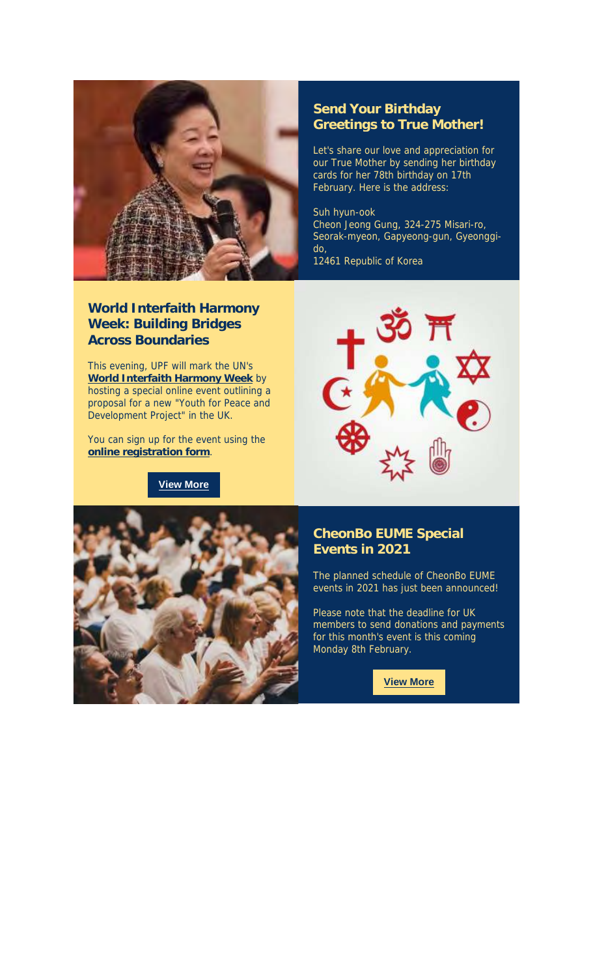

#### **World Interfaith Harmony Week: Building Bridges Across Boundaries**

This evening, UPF will mark the UN's **World Interfaith Harmony Week** by hosting a special online event outlining a proposal for a new "Youth for Peace and Development Project" in the UK.

You can sign up for the event using the **online registration form**.

**View More**

#### **Send Your Birthday Greetings to True Mother!**

Let's share our love and appreciation for our True Mother by sending her birthday cards for her 78th birthday on 17th February. Here is the address:

#### Suh hyun-ook

Cheon Jeong Gung, 324-275 Misari-ro, Seorak-myeon, Gapyeong-gun, Gyeonggido,

12461 Republic of Korea





#### **CheonBo EUME Special Events in 2021**

The planned schedule of CheonBo EUME events in 2021 has just been announced!

Please note that the deadline for UK members to send donations and payments for this month's event is this coming Monday 8th February.

**View More**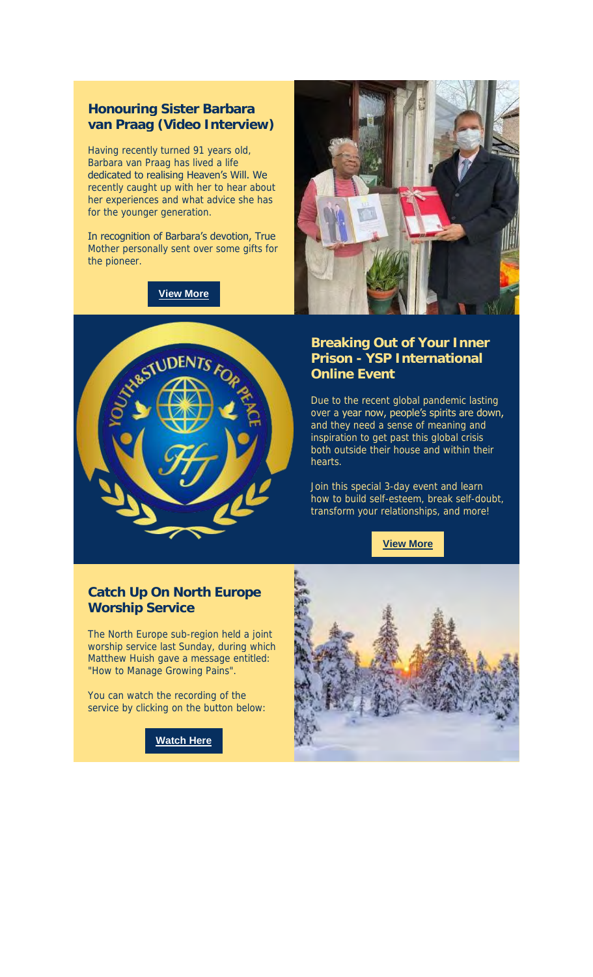### **Honouring Sister Barbara van Praag (Video Interview)**

Having recently turned 91 years old, Barbara van Praag has lived a life dedicated to realising Heaven's Will. We recently caught up with her to hear about her experiences and what advice she has for the younger generation.

In recognition of Barbara's devotion, True Mother personally sent over some gifts for the pioneer.

**View More**





#### **Breaking Out of Your Inner Prison - YSP International Online Event**

Due to the recent global pandemic lasting over a year now, people's spirits are down, and they need a sense of meaning and inspiration to get past this global crisis both outside their house and within their hearts.

Join this special 3-day event and learn how to build self-esteem, break self-doubt, transform your relationships, and more!

**View More**

#### **Catch Up On North Europe Worship Service**

The North Europe sub-region held a joint worship service last Sunday, during which Matthew Huish gave a message entitled: "How to Manage Growing Pains".

You can watch the recording of the service by clicking on the button below:



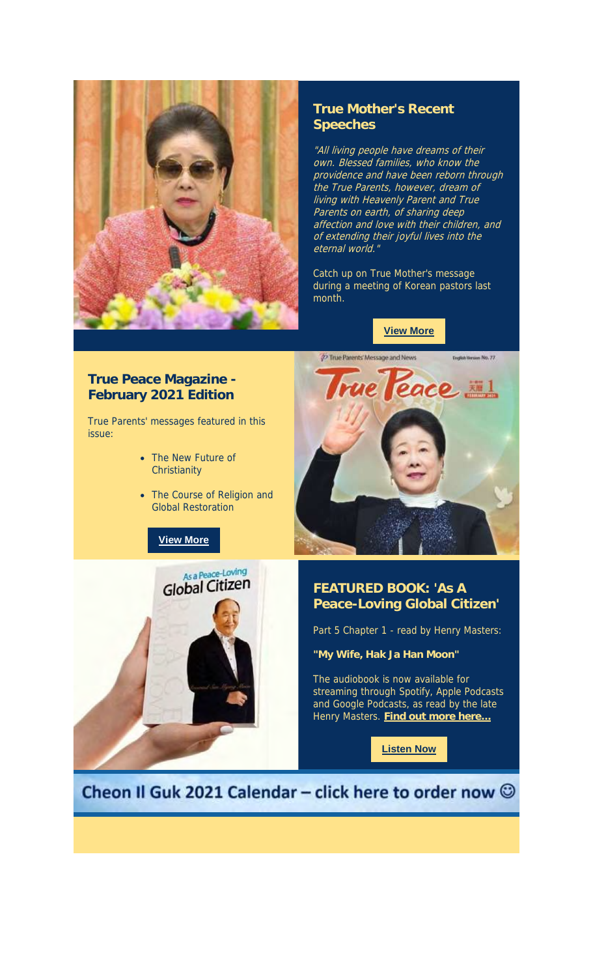

#### **True Mother's Recent Speeches**

"All living people have dreams of their own. Blessed families, who know the providence and have been reborn through .<br>the True Parents, however, dream of living with Heavenly Parent and True Parents on earth, of sharing deep affection and love with their children, and of extending their joyful lives into the eternal world.

Catch up on True Mother's message during a meeting of Korean pastors last month.

**View More**

#### **True Peace Magazine - February 2021 Edition**

True Parents' messages featured in this issue:

- The New Future of **Christianity**
- The Course of Religion and Global Restoration

### **View More**





#### **FEATURED BOOK: 'As A Peace-Loving Global Citizen'**

Part 5 Chapter 1 - read by Henry Masters:

**"My Wife, Hak Ja Han Moon"**

The audiobook is now available for streaming through Spotify, Apple Podcasts and Google Podcasts, as read by the late Henry Masters. **Find out more here...**

**Listen Now**

Cheon Il Guk 2021 Calendar - click here to order now  $\odot$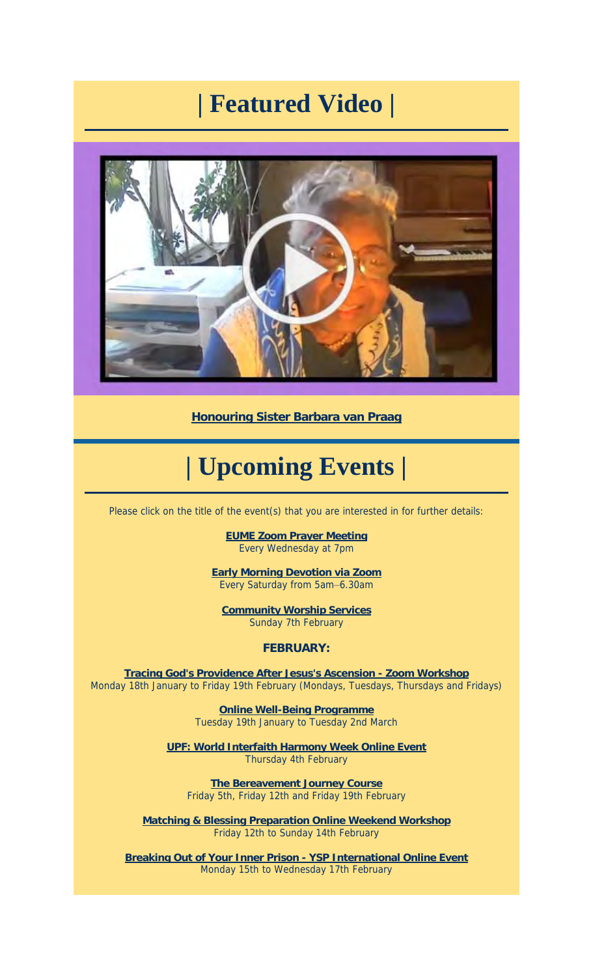## **| Featured Video |**



**Honouring Sister Barbara van Praag**

# **| Upcoming Events |**

Please click on the title of the event(s) that you are interested in for further details:

**EUME Zoom Prayer Meeting** Every Wednesday at 7pm

**Early Morning Devotion via Zoom** Every Saturday from 5am–6.30am

**Community Worship Services** Sunday 7th February

**FEBRUARY:**

**Tracing God's Providence After Jesus's Ascension - Zoom Workshop** Monday 18th January to Friday 19th February (Mondays, Tuesdays, Thursdays and Fridays)

> **Online Well-Being Programme** Tuesday 19th January to Tuesday 2nd March

**UPF: World Interfaith Harmony Week Online Event** Thursday 4th February

**The Bereavement Journey Course** Friday 5th, Friday 12th and Friday 19th February

**Matching & Blessing Preparation Online Weekend Workshop** Friday 12th to Sunday 14th February

**Breaking Out of Your Inner Prison - YSP International Online Event** Monday 15th to Wednesday 17th February